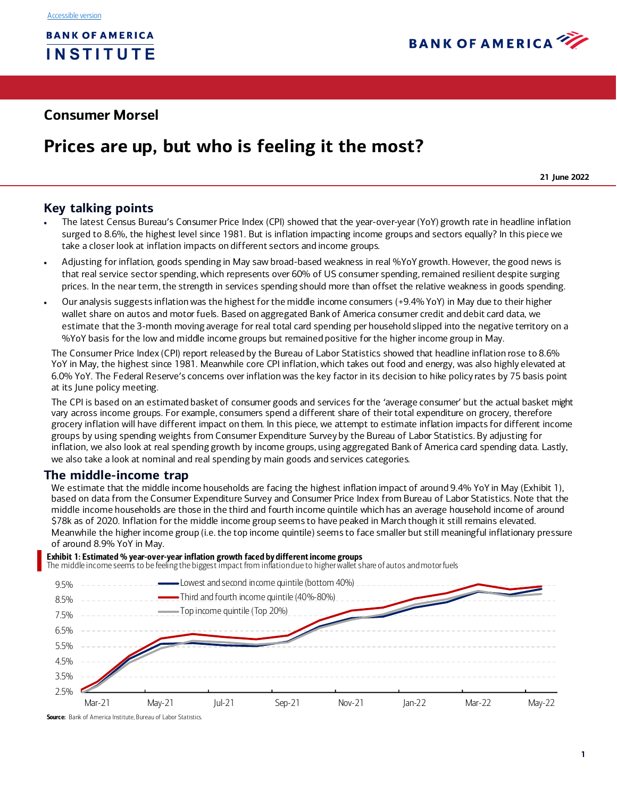

# **Consumer Morsel**

# **Prices are up, but who is feeling it the most?**

**21 June 2022**

## **Key talking points**

- The latest Census Bureau's Consumer Price Index (CPI) showed that the year-over-year (YoY) growth rate in headline inflation surged to 8.6%, the highest level since 1981. But is inflation impacting income groups and sectors equally? In this piece we take a closer look at inflation impacts on different sectors and income groups.
- Adjusting for inflation, goods spending in May saw broad-based weakness in real %YoY growth. However, the good news is that real service sector spending, which represents over 60% of US consumer spending, remained resilient despite surging prices. In the near term, the strength in services spending should more than offset the relative weakness in goods spending.
- Our analysis suggests inflation was the highest for the middle income consumers (+9.4% YoY) in May due to their higher wallet share on autos and motor fuels. Based on aggregated Bank of America consumer credit and debit card data, we estimate that the 3-month moving average for real total card spending per household slipped into the negative territory on a %YoY basis for the low and middle income groups but remained positive for the higher income group in May.

The Consumer Price Index (CPI) report released by the Bureau of Labor Statistics showed that headline inflation rose to 8.6% YoY in May, the highest since 1981. Meanwhile core CPI inflation, which takes out food and energy, was also highly elevated at 6.0% YoY. The Federal Reserve's concerns over inflation was the key factor in its decision to hike policy rates by 75 basis point at its June policy meeting.

The CPI is based on an estimated basket of consumer goods and services for the 'average consumer' but the actual basket might vary across income groups. For example, consumers spend a different share of their total expenditure on grocery, therefore grocery inflation will have different impact on them. In this piece, we attempt to estimate inflation impacts for different income groups by using spending weights from Consumer Expenditure Survey by the Bureau of Labor Statistics. By adjusting for inflation, we also look at real spending growth by income groups, using aggregated Bank of America card spending data. Lastly, we also take a look at nominal and real spending by main goods and services categories.

## **The middle-income trap**

We estimate that the middle income households are facing the highest inflation impact of around 9.4% YoY in May [\(Exhibit 1\)](#page-0-0), based on data from the Consumer Expenditure Survey and Consumer Price Index from Bureau of Labor Statistics. Note that the middle income households are those in the third and fourth income quintile which has an average household income of around \$78k as of 2020. Inflation for the middle income group seems to have peaked in March though it still remains elevated. Meanwhile the higher income group (i.e. the top income quintile) seems to face smaller but still meaningful inflationary pressure of around 8.9% YoY in May.

<span id="page-0-0"></span>Exhibit 1: Estimated % year-over-year inflation growth faced by different income groups<br>The middle income seems to be feeling the biggest impact from inflation due to higher wallet share of autos and motor fuels



Source: Bank of America Institute, Bureau of Labor Statistics.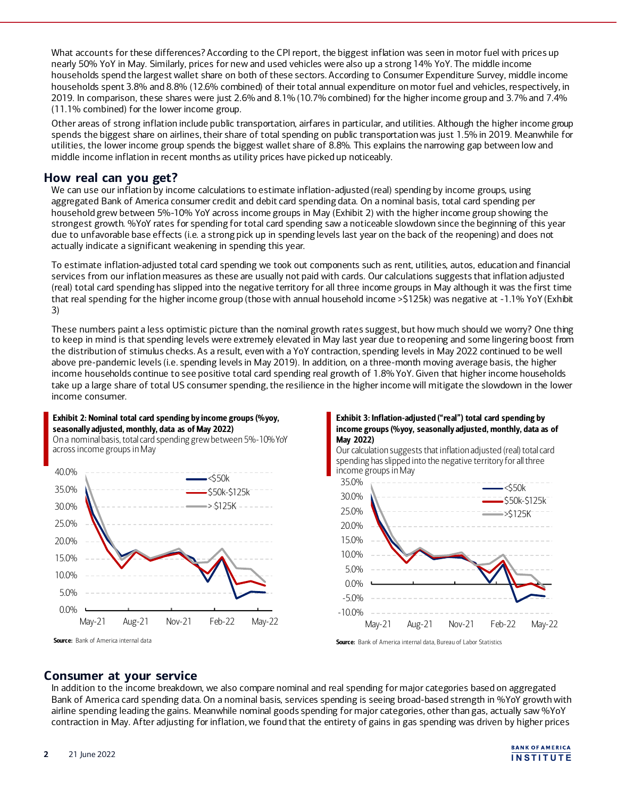What accounts for these differences? According to the CPI report, the biggest inflation was seen in motor fuel with prices up nearly 50% YoY in May. Similarly, prices for new and used vehicles were also up a strong 14% YoY. The middle income households spend the largest wallet share on both of these sectors. According to Consumer Expenditure Survey, middle income households spent 3.8% and 8.8% (12.6% combined) of their total annual expenditure on motor fuel and vehicles, respectively, in 2019. In comparison, these shares were just 2.6% and 8.1% (10.7% combined) for the higher income group and 3.7% and 7.4% (11.1% combined) for the lower income group.

Other areas of strong inflation include public transportation, airfares in particular, and utilities. Although the higher income group spends the biggest share on airlines, their share of total spending on public transportation was just 1.5% in 2019. Meanwhile for utilities, the lower income group spends the biggest wallet share of 8.8%. This explains the narrowing gap between low and middle income inflation in recent months as utility prices have picked up noticeably.

## **How real can you get?**

We can use our inflation by income calculations to estimate inflation-adjusted (real) spending by income groups, using aggregated Bank of America consumer credit and debit card spending data. On a nominal basis, total card spending per household grew between 5%-10% YoY across income groups in May [\(Exhibit 2](#page-1-0)) with the higher income group showing the strongest growth. %YoY rates for spending for total card spending saw a noticeable slowdown since the beginning of this year due to unfavorable base effects (i.e. a strong pick up in spending levels last year on the back of the reopening) and does not actually indicate a significant weakening in spending this year.

To estimate inflation-adjusted total card spending we took out components such as rent, utilities, autos, education and financial services from our inflation measures as these are usually not paid with cards. Our calculations suggests that inflation adjusted (real) total card spending has slipped into the negative territory for all three income groups in May although it was the first time that real spending for the higher income group (those with annual household income >\$125k) was negative at -1.1% YoY [\(Exhibit](#page-1-1)  [3\)](#page-1-1)

These numbers paint a less optimistic picture than the nominal growth rates suggest, but how much should we worry? One thing to keep in mind is that spending levels were extremely elevated in May last year due to reopening and some lingering boost from the distribution of stimulus checks. As a result, even with a YoY contraction, spending levels in May 2022 continued to be well above pre-pandemic levels (i.e. spending levels in May 2019). In addition, on a three-month moving average basis, the higher income households continue to see positive total card spending real growth of 1.8% YoY. Given that higher income households take up a large share of total US consumer spending, the resilience in the higher income will mitigate the slowdown in the lower income consumer.

#### <span id="page-1-0"></span>Exhibit 2: Nominal total card spending by income groups (%yoy, seasonally adjusted, monthly, data as of May 2022)

On a nominal basis, total card spending grew between 5%-10% YoY across income groups in May



Source: Bank of America internal data

<span id="page-1-1"></span>

Our calculation suggests that inflation adjusted (real) total card spending has slipped into the negative territory for all three income groups in May



Source: Bank of America internal data, Bureau of Labor Statistics

## **Consumer at your service**

In addition to the income breakdown, we also compare nominal and real spending for major categories based on aggregated Bank of America card spending data. On a nominal basis, services spending is seeing broad-based strength in %YoY growth with airline spending leading the gains. Meanwhile nominal goods spending for major categories, other than gas, actually saw %YoY contraction in May. After adjusting for inflation, we found that the entirety of gains in gas spending was driven by higher prices

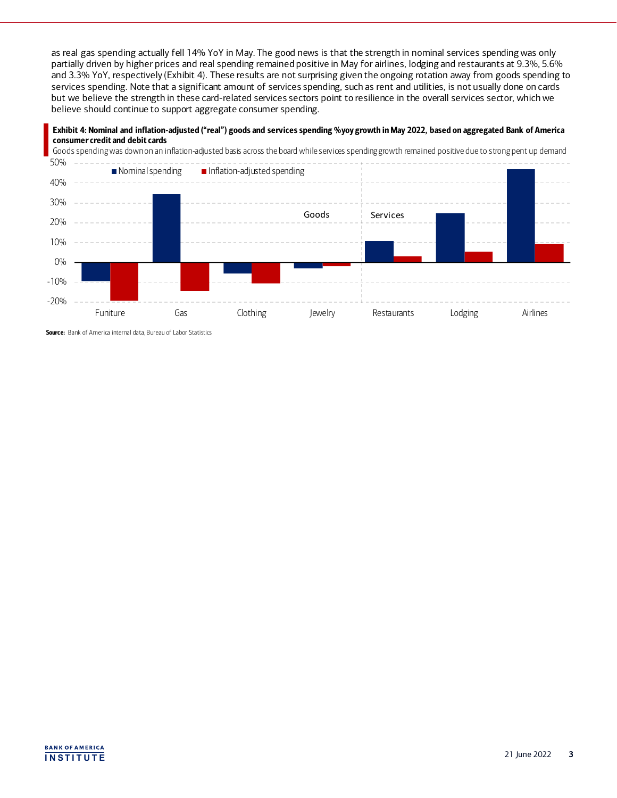as real gas spending actually fell 14% YoY in May. The good news is that the strength in nominal services spending was only partially driven by higher prices and real spending remained positive in May for airlines, lodging and restaurants at 9.3%, 5.6% and 3.3% YoY, respectively [\(Exhibit 4](#page-2-0)). These results are not surprising given the ongoing rotation away from goods spending to services spending. Note that a significant amount of services spending, such as rent and utilities, is not usually done on cards but we believe the strength in these card-related services sectors point to resilience in the overall services sector, which we believe should continue to support aggregate consumer spending.

<span id="page-2-0"></span>



Source: Bank of America internal data, Bureau of Labor Statistics

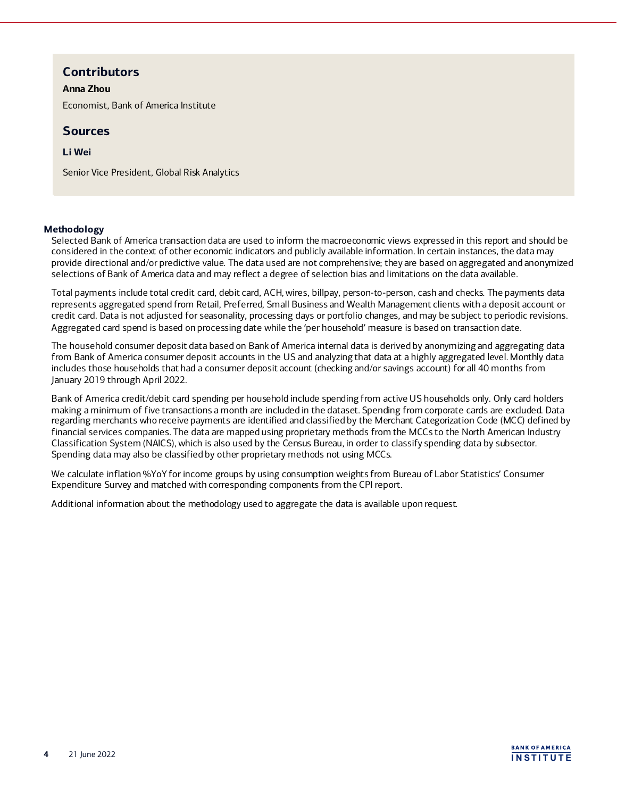# **Contributors**

#### **Anna Zhou**

Economist, Bank of America Institute

## **Sources**

### **Li Wei**

Senior Vice President, Global Risk Analytics

#### **Methodology**

Selected Bank of America transaction data are used to inform the macroeconomic views expressed in this report and should be considered in the context of other economic indicators and publicly available information. In certain instances, the data may provide directional and/or predictive value. The data used are not comprehensive; they are based on aggregated and anonymized selections of Bank of America data and may reflect a degree of selection bias and limitations on the data available.

Total payments include total credit card, debit card, ACH, wires, billpay, person-to-person, cash and checks. The payments data represents aggregated spend from Retail, Preferred, Small Business and Wealth Management clients with a deposit account or credit card. Data is not adjusted for seasonality, processing days or portfolio changes, and may be subject to periodic revisions. Aggregated card spend is based on processing date while the 'per household' measure is based on transaction date.

The household consumer deposit data based on Bank of America internal data is derived by anonymizing and aggregating data from Bank of America consumer deposit accounts in the US and analyzing that data at a highly aggregated level. Monthly data includes those households that had a consumer deposit account (checking and/or savings account) for all 40 months from January 2019 through April 2022.

Bank of America credit/debit card spending per household include spending from active US households only. Only card holders making a minimum of five transactions a month are included in the dataset. Spending from corporate cards are excluded. Data regarding merchants who receive payments are identified and classified by the Merchant Categorization Code (MCC) defined by financial services companies. The data are mapped using proprietary methods from the MCCs to the North American Industry Classification System (NAICS), which is also used by the Census Bureau, in order to classify spending data by subsector. Spending data may also be classified by other proprietary methods not using MCCs.

We calculate inflation %YoY for income groups by using consumption weights from Bureau of Labor Statistics' Consumer Expenditure Survey and matched with corresponding components from the CPI report.

Additional information about the methodology used to aggregate the data is available upon request.